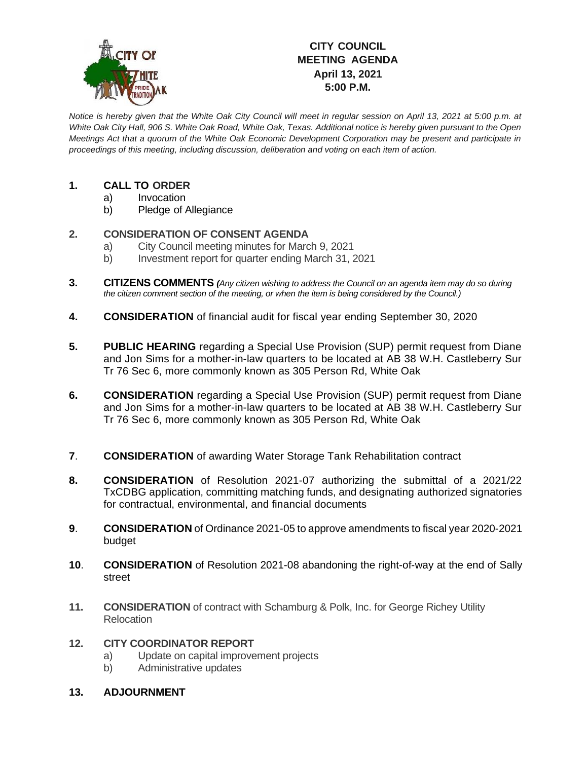

## **CITY COUNCIL MEETING AGENDA April 13, 2021 5:00 P.M.**

*Notice is hereby given that the White Oak City Council will meet in regular session on April 13, 2021 at 5:00 p.m. at White Oak City Hall, 906 S. White Oak Road, White Oak, Texas. Additional notice is hereby given pursuant to the Open Meetings Act that a quorum of the White Oak Economic Development Corporation may be present and participate in proceedings of this meeting, including discussion, deliberation and voting on each item of action.*

## **1. CALL TO ORDER**

- a) Invocation
- b) Pledge of Allegiance

## **2. CONSIDERATION OF CONSENT AGENDA**

- a) City Council meeting minutes for March 9, 2021
- b) Investment report for quarter ending March 31, 2021
- **3. CITIZENS COMMENTS** *(Any citizen wishing to address the Council on an agenda item may do so during the citizen comment section of the meeting, or when the item is being considered by the Council.)*
- **4. CONSIDERATION** of financial audit for fiscal year ending September 30, 2020
- **5. PUBLIC HEARING** regarding a Special Use Provision (SUP) permit request from Diane and Jon Sims for a mother-in-law quarters to be located at AB 38 W.H. Castleberry Sur Tr 76 Sec 6, more commonly known as 305 Person Rd, White Oak
- **6. CONSIDERATION** regarding a Special Use Provision (SUP) permit request from Diane and Jon Sims for a mother-in-law quarters to be located at AB 38 W.H. Castleberry Sur Tr 76 Sec 6, more commonly known as 305 Person Rd, White Oak
- **7**. **CONSIDERATION** of awarding Water Storage Tank Rehabilitation contract
- **8. CONSIDERATION** of Resolution 2021-07 authorizing the submittal of a 2021/22 TxCDBG application, committing matching funds, and designating authorized signatories for contractual, environmental, and financial documents
- **9**. **CONSIDERATION** of Ordinance 2021-05 to approve amendments to fiscal year 2020-2021 budget
- **10**. **CONSIDERATION** of Resolution 2021-08 abandoning the right-of-way at the end of Sally street
- **11. CONSIDERATION** of contract with Schamburg & Polk, Inc. for George Richey Utility Relocation

## **12. CITY COORDINATOR REPORT**

- a) Update on capital improvement projects
- b) Administrative updates
- **13. ADJOURNMENT**